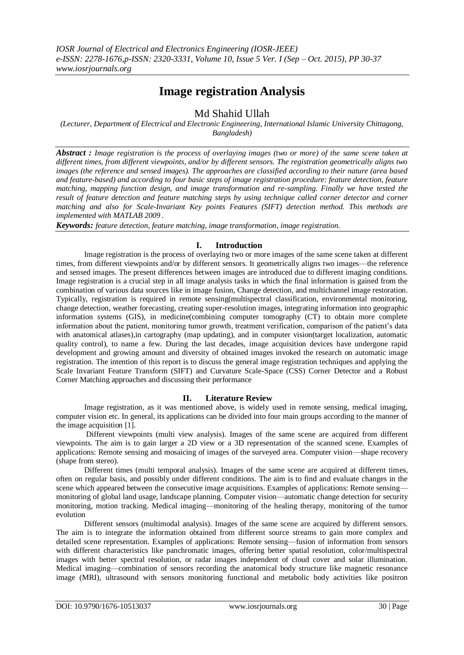# **Image registration Analysis**

# Md Shahid Ullah

*(Lecturer, Department of Electrical and Electronic Engineering, International Islamic University Chittagong, Bangladesh)*

*Abstract : Image registration is the process of overlaying images (two or more) of the same scene taken at different times, from different viewpoints, and/or by different sensors. The registration geometrically aligns two images (the reference and sensed images). The approaches are classified according to their nature (area based and feature-based) and according to four basic steps of image registration procedure: feature detection, feature matching, mapping function design, and image transformation and re-sampling. Finally we have tested the result of feature detection and feature matching steps by using technique called corner detector and corner matching and also for Scale-Invariant Key points Features (SIFT) detection method. This methods are implemented with MATLAB 2009 .*

*Keywords: feature detection, feature matching, image transformation, image registration.*

# **I. Introduction**

Image registration is the process of overlaying two or more images of the same scene taken at different times, from different viewpoints and/or by different sensors. It geometrically aligns two images—the reference and sensed images. The present differences between images are introduced due to different imaging conditions. Image registration is a crucial step in all image analysis tasks in which the final information is gained from the combination of various data sources like in image fusion, Change detection, and multichannel image restoration. Typically, registration is required in remote sensing(multispectral classification, environmental monitoring, change detection, weather forecasting, creating super-resolution images, integrating information into geographic information systems (GIS), in medicine(combining computer tomography (CT) to obtain more complete information about the patient, monitoring tumor growth, treatment verification, comparison of the patient's data with anatomical atlases),in cartography (map updating), and in computer vision(target localization, automatic quality control), to name a few. During the last decades, image acquisition devices have undergone rapid development and growing amount and diversity of obtained images invoked the research on automatic image registration. The intention of this report is to discuss the general image registration techniques and applying the Scale Invariant Feature Transform (SIFT) and Curvature Scale-Space (CSS) Corner Detector and a Robust Corner Matching approaches and discussing their performance

# **II. Literature Review**

Image registration, as it was mentioned above, is widely used in remote sensing, medical imaging, computer vision etc. In general, its applications can be divided into four main groups according to the manner of the image acquisition [1].

Different viewpoints (multi view analysis). Images of the same scene are acquired from different viewpoints. The aim is to gain larger a 2D view or a 3D representation of the scanned scene. Examples of applications: Remote sensing and mosaicing of images of the surveyed area. Computer vision—shape recovery (shape from stereo).

Different times (multi temporal analysis). Images of the same scene are acquired at different times, often on regular basis, and possibly under different conditions. The aim is to find and evaluate changes in the scene which appeared between the consecutive image acquisitions. Examples of applications: Remote sensing monitoring of global land usage, landscape planning. Computer vision—automatic change detection for security monitoring, motion tracking. Medical imaging—monitoring of the healing therapy, monitoring of the tumor evolution

Different sensors (multimodal analysis). Images of the same scene are acquired by different sensors. The aim is to integrate the information obtained from different source streams to gain more complex and detailed scene representation. Examples of applications: Remote sensing—fusion of information from sensors with different characteristics like panchromatic images, offering better spatial resolution, color/multispectral images with better spectral resolution, or radar images independent of cloud cover and solar illumination. Medical imaging—combination of sensors recording the anatomical body structure like magnetic resonance image (MRI), ultrasound with sensors monitoring functional and metabolic body activities like positron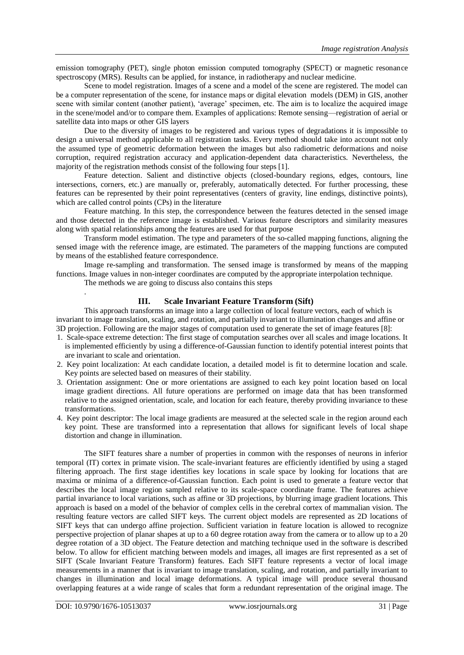emission tomography (PET), single photon emission computed tomography (SPECT) or magnetic resonance spectroscopy (MRS). Results can be applied, for instance, in radiotherapy and nuclear medicine.

Scene to model registration. Images of a scene and a model of the scene are registered. The model can be a computer representation of the scene, for instance maps or digital elevation models (DEM) in GIS, another scene with similar content (another patient), 'average' specimen, etc. The aim is to localize the acquired image in the scene/model and/or to compare them. Examples of applications: Remote sensing—registration of aerial or satellite data into maps or other GIS layers

Due to the diversity of images to be registered and various types of degradations it is impossible to design a universal method applicable to all registration tasks. Every method should take into account not only the assumed type of geometric deformation between the images but also radiometric deformations and noise corruption, required registration accuracy and application-dependent data characteristics. Nevertheless, the majority of the registration methods consist of the following four steps [1].

Feature detection. Salient and distinctive objects (closed-boundary regions, edges, contours, line intersections, corners, etc.) are manually or, preferably, automatically detected. For further processing, these features can be represented by their point representatives (centers of gravity, line endings, distinctive points), which are called control points (CPs) in the literature

Feature matching. In this step, the correspondence between the features detected in the sensed image and those detected in the reference image is established. Various feature descriptors and similarity measures along with spatial relationships among the features are used for that purpose

Transform model estimation. The type and parameters of the so-called mapping functions, aligning the sensed image with the reference image, are estimated. The parameters of the mapping functions are computed by means of the established feature correspondence.

Image re-sampling and transformation. The sensed image is transformed by means of the mapping functions. Image values in non-integer coordinates are computed by the appropriate interpolation technique.

The methods we are going to discuss also contains this steps

#### **III. Scale Invariant Feature Transform (Sift)**

This approach transforms an image into a large collection of local feature vectors, each of which is invariant to image translation, scaling, and rotation, and partially invariant to illumination changes and affine or 3D projection. Following are the major stages of computation used to generate the set of image features [8]:

- 1. Scale-space extreme detection: The first stage of computation searches over all scales and image locations. It is implemented efficiently by using a difference-of-Gaussian function to identify potential interest points that are invariant to scale and orientation.
- 2. Key point localization: At each candidate location, a detailed model is fit to determine location and scale. Key points are selected based on measures of their stability.
- 3. Orientation assignment: One or more orientations are assigned to each key point location based on local image gradient directions. All future operations are performed on image data that has been transformed relative to the assigned orientation, scale, and location for each feature, thereby providing invariance to these transformations.
- 4. Key point descriptor: The local image gradients are measured at the selected scale in the region around each key point. These are transformed into a representation that allows for significant levels of local shape distortion and change in illumination.

The SIFT features share a number of properties in common with the responses of neurons in inferior temporal (IT) cortex in primate vision. The scale-invariant features are efficiently identified by using a staged filtering approach. The first stage identifies key locations in scale space by looking for locations that are maxima or minima of a difference-of-Gaussian function. Each point is used to generate a feature vector that describes the local image region sampled relative to its scale-space coordinate frame. The features achieve partial invariance to local variations, such as affine or 3D projections, by blurring image gradient locations. This approach is based on a model of the behavior of complex cells in the cerebral cortex of mammalian vision. The resulting feature vectors are called SIFT keys. The current object models are represented as 2D locations of SIFT keys that can undergo affine projection. Sufficient variation in feature location is allowed to recognize perspective projection of planar shapes at up to a 60 degree rotation away from the camera or to allow up to a 20 degree rotation of a 3D object. The Feature detection and matching technique used in the software is described below. To allow for efficient matching between models and images, all images are first represented as a set of SIFT (Scale Invariant Feature Transform) features. Each SIFT feature represents a vector of local image measurements in a manner that is invariant to image translation, scaling, and rotation, and partially invariant to changes in illumination and local image deformations. A typical image will produce several thousand overlapping features at a wide range of scales that form a redundant representation of the original image. The

.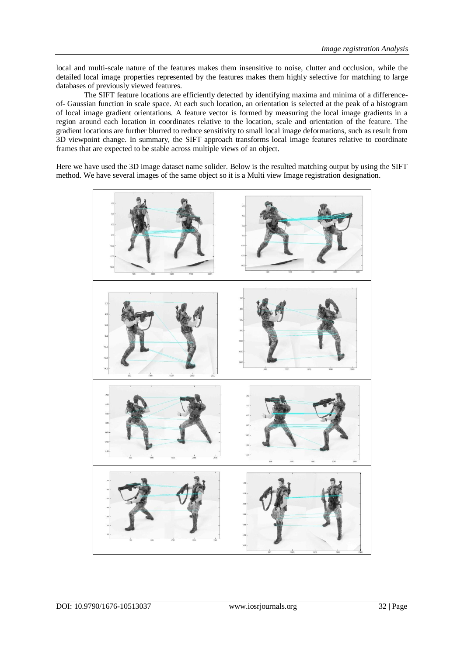local and multi-scale nature of the features makes them insensitive to noise, clutter and occlusion, while the detailed local image properties represented by the features makes them highly selective for matching to large databases of previously viewed features.

The SIFT feature locations are efficiently detected by identifying maxima and minima of a differenceof- Gaussian function in scale space. At each such location, an orientation is selected at the peak of a histogram of local image gradient orientations. A feature vector is formed by measuring the local image gradients in a region around each location in coordinates relative to the location, scale and orientation of the feature. The gradient locations are further blurred to reduce sensitivity to small local image deformations, such as result from 3D viewpoint change. In summary, the SIFT approach transforms local image features relative to coordinate frames that are expected to be stable across multiple views of an object.

Here we have used the 3D image dataset name solider. Below is the resulted matching output by using the SIFT method. We have several images of the same object so it is a Multi view Image registration designation.

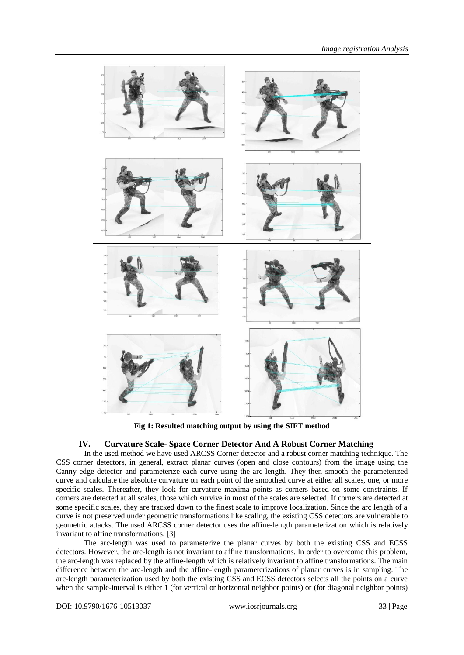

**Fig 1: Resulted matching output by using the SIFT method**

# **IV. Curvature Scale- Space Corner Detector And A Robust Corner Matching**

In the used method we have used ARCSS Corner detector and a robust corner matching technique. The CSS corner detectors, in general, extract planar curves (open and close contours) from the image using the Canny edge detector and parameterize each curve using the arc-length. They then smooth the parameterized curve and calculate the absolute curvature on each point of the smoothed curve at either all scales, one, or more specific scales. Thereafter, they look for curvature maxima points as corners based on some constraints. If corners are detected at all scales, those which survive in most of the scales are selected. If corners are detected at some specific scales, they are tracked down to the finest scale to improve localization. Since the arc length of a curve is not preserved under geometric transformations like scaling, the existing CSS detectors are vulnerable to geometric attacks. The used ARCSS corner detector uses the affine-length parameterization which is relatively invariant to affine transformations. [3]

The arc-length was used to parameterize the planar curves by both the existing CSS and ECSS detectors. However, the arc-length is not invariant to affine transformations. In order to overcome this problem, the arc-length was replaced by the affine-length which is relatively invariant to affine transformations. The main difference between the arc-length and the affine-length parameterizations of planar curves is in sampling. The arc-length parameterization used by both the existing CSS and ECSS detectors selects all the points on a curve when the sample-interval is either 1 (for vertical or horizontal neighbor points) or (for diagonal neighbor points)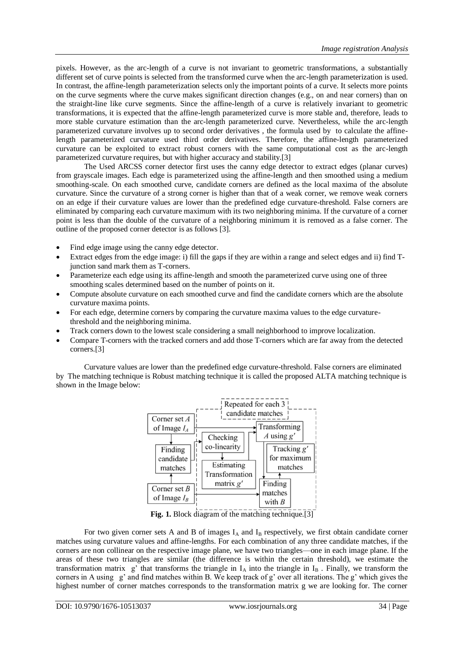pixels. However, as the arc-length of a curve is not invariant to geometric transformations, a substantially different set of curve points is selected from the transformed curve when the arc-length parameterization is used. In contrast, the affine-length parameterization selects only the important points of a curve. It selects more points on the curve segments where the curve makes significant direction changes (e.g., on and near corners) than on the straight-line like curve segments. Since the affine-length of a curve is relatively invariant to geometric transformations, it is expected that the affine-length parameterized curve is more stable and, therefore, leads to more stable curvature estimation than the arc-length parameterized curve. Nevertheless, while the arc-length parameterized curvature involves up to second order derivatives , the formula used by to calculate the affinelength parameterized curvature used third order derivatives. Therefore, the affine-length parameterized curvature can be exploited to extract robust corners with the same computational cost as the arc-length parameterized curvature requires, but with higher accuracy and stability.[3]

The Used ARCSS corner detector first uses the canny edge detector to extract edges (planar curves) from grayscale images. Each edge is parameterized using the affine-length and then smoothed using a medium smoothing-scale. On each smoothed curve, candidate corners are defined as the local maxima of the absolute curvature. Since the curvature of a strong corner is higher than that of a weak corner, we remove weak corners on an edge if their curvature values are lower than the predefined edge curvature-threshold. False corners are eliminated by comparing each curvature maximum with its two neighboring minima. If the curvature of a corner point is less than the double of the curvature of a neighboring minimum it is removed as a false corner. The outline of the proposed corner detector is as follows [3].

- Find edge image using the canny edge detector.
- Extract edges from the edge image: i) fill the gaps if they are within a range and select edges and ii) find Tjunction sand mark them as T-corners.
- Parameterize each edge using its affine-length and smooth the parameterized curve using one of three smoothing scales determined based on the number of points on it.
- Compute absolute curvature on each smoothed curve and find the candidate corners which are the absolute curvature maxima points.
- For each edge, determine corners by comparing the curvature maxima values to the edge curvaturethreshold and the neighboring minima.
- Track corners down to the lowest scale considering a small neighborhood to improve localization.
- Compare T-corners with the tracked corners and add those T-corners which are far away from the detected corners.[3]

Curvature values are lower than the predefined edge curvature-threshold. False corners are eliminated by The matching technique is Robust matching technique it is called the proposed ALTA matching technique is shown in the Image below:



**Fig. 1.** Block diagram of the matching technique.<sup>[3]</sup>

For two given corner sets A and B of images  $I_A$  and  $I_B$  respectively, we first obtain candidate corner matches using curvature values and affine-lengths. For each combination of any three candidate matches, if the corners are non collinear on the respective image plane, we have two triangles—one in each image plane. If the areas of these two triangles are similar (the difference is within the certain threshold), we estimate the transformation matrix  $g'$  that transforms the triangle in  $I_A$  into the triangle in  $I_B$ . Finally, we transform the corners in A using g' and find matches within B. We keep track of g' over all iterations. The g' which gives the highest number of corner matches corresponds to the transformation matrix g we are looking for. The corner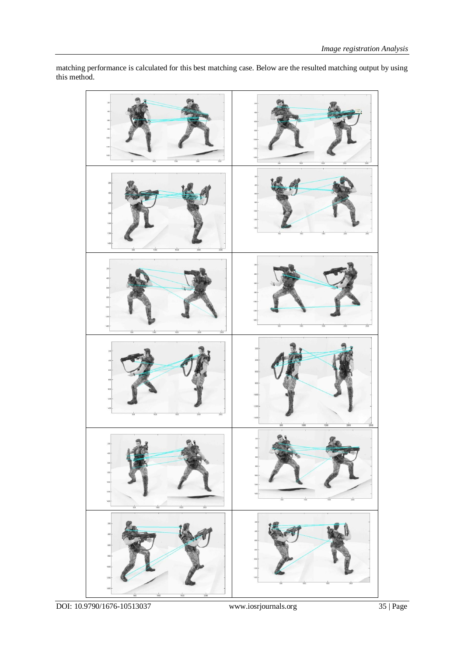

matching performance is calculated for this best matching case. Below are the resulted matching output by using this method.

DOI: 10.9790/1676-10513037 www.iosrjournals.org 35 | Page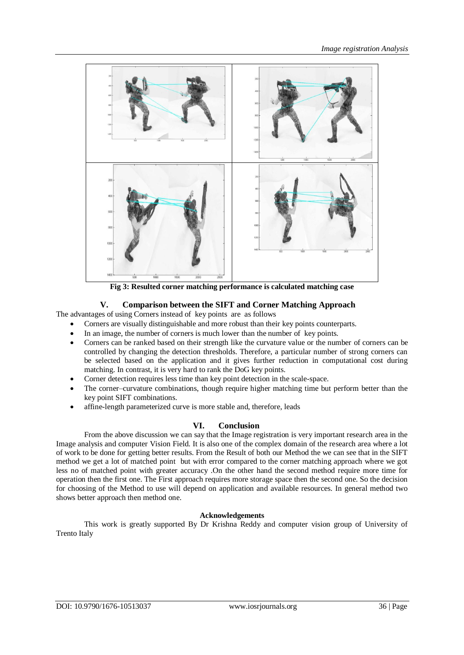

**Fig 3: Resulted corner matching performance is calculated matching case**

# **V. Comparison between the SIFT and Corner Matching Approach**

The advantages of using Corners instead of key points are as follows

- Corners are visually distinguishable and more robust than their key points counterparts.
- In an image, the number of corners is much lower than the number of key points.
- Corners can be ranked based on their strength like the curvature value or the number of corners can be controlled by changing the detection thresholds. Therefore, a particular number of strong corners can be selected based on the application and it gives further reduction in computational cost during matching. In contrast, it is very hard to rank the DoG key points.
- Corner detection requires less time than key point detection in the scale-space.
- The corner–curvature combinations, though require higher matching time but perform better than the key point SIFT combinations.
- affine-length parameterized curve is more stable and, therefore, leads

# **VI. Conclusion**

From the above discussion we can say that the Image registration is very important research area in the Image analysis and computer Vision Field. It is also one of the complex domain of the research area where a lot of work to be done for getting better results. From the Result of both our Method the we can see that in the SIFT method we get a lot of matched point but with error compared to the corner matching approach where we got less no of matched point with greater accuracy .On the other hand the second method require more time for operation then the first one. The First approach requires more storage space then the second one. So the decision for choosing of the Method to use will depend on application and available resources. In general method two shows better approach then method one.

# **Acknowledgements**

This work is greatly supported By Dr Krishna Reddy and computer vision group of University of Trento Italy